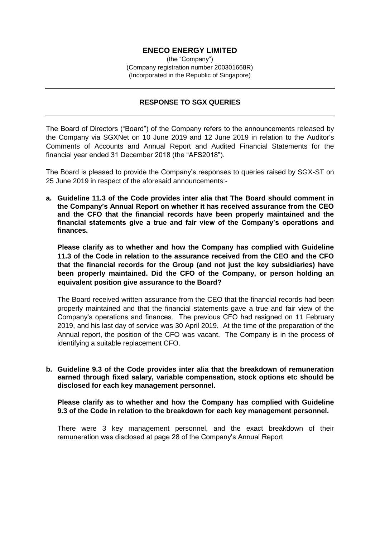# **ENECO ENERGY LIMITED**

(the "Company") (Company registration number 200301668R) (Incorporated in the Republic of Singapore)

## **RESPONSE TO SGX QUERIES**

The Board of Directors ("Board") of the Company refers to the announcements released by the Company via SGXNet on 10 June 2019 and 12 June 2019 in relation to the Auditor's Comments of Accounts and Annual Report and Audited Financial Statements for the financial year ended 31 December 2018 (the "AFS2018").

The Board is pleased to provide the Company's responses to queries raised by SGX-ST on 25 June 2019 in respect of the aforesaid announcements:-

**a. Guideline 11.3 of the Code provides inter alia that The Board should comment in the Company's Annual Report on whether it has received assurance from the CEO and the CFO that the financial records have been properly maintained and the financial statements give a true and fair view of the Company's operations and finances.**

**Please clarify as to whether and how the Company has complied with Guideline 11.3 of the Code in relation to the assurance received from the CEO and the CFO that the financial records for the Group (and not just the key subsidiaries) have been properly maintained. Did the CFO of the Company, or person holding an equivalent position give assurance to the Board?**

The Board received written assurance from the CEO that the financial records had been properly maintained and that the financial statements gave a true and fair view of the Company's operations and finances. The previous CFO had resigned on 11 February 2019, and his last day of service was 30 April 2019. At the time of the preparation of the Annual report, the position of the CFO was vacant. The Company is in the process of identifying a suitable replacement CFO.

**b. Guideline 9.3 of the Code provides inter alia that the breakdown of remuneration earned through fixed salary, variable compensation, stock options etc should be disclosed for each key management personnel.**

**Please clarify as to whether and how the Company has complied with Guideline 9.3 of the Code in relation to the breakdown for each key management personnel.** 

There were 3 key management personnel, and the exact breakdown of their remuneration was disclosed at page 28 of the Company's Annual Report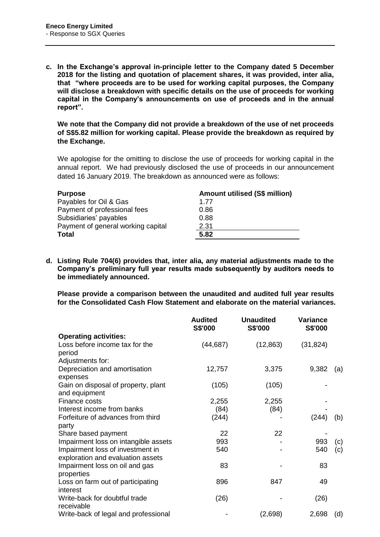**c. In the Exchange's approval in-principle letter to the Company dated 5 December 2018 for the listing and quotation of placement shares, it was provided, inter alia, that "where proceeds are to be used for working capital purposes, the Company will disclose a breakdown with specific details on the use of proceeds for working capital in the Company's announcements on use of proceeds and in the annual report".** 

**We note that the Company did not provide a breakdown of the use of net proceeds of S\$5.82 million for working capital. Please provide the breakdown as required by the Exchange.**

We apologise for the omitting to disclose the use of proceeds for working capital in the annual report. We had previously disclosed the use of proceeds in our announcement dated 16 January 2019. The breakdown as announced were as follows:

| <b>Purpose</b>                     | <b>Amount utilised (S\$ million)</b> |
|------------------------------------|--------------------------------------|
| Payables for Oil & Gas             | 1.77                                 |
| Payment of professional fees       | 0.86                                 |
| Subsidiaries' payables             | 0.88                                 |
| Payment of general working capital | 2.31                                 |
| <b>Total</b>                       | 5.82                                 |

**d. Listing Rule 704(6) provides that, inter alia, any material adjustments made to the Company's preliminary full year results made subsequently by auditors needs to be immediately announced.** 

**Please provide a comparison between the unaudited and audited full year results for the Consolidated Cash Flow Statement and elaborate on the material variances.**

|                                                                       | <b>Audited</b><br><b>S\$'000</b> | <b>Unaudited</b><br>S\$'000 | <b>Variance</b><br>S\$'000 |     |
|-----------------------------------------------------------------------|----------------------------------|-----------------------------|----------------------------|-----|
| <b>Operating activities:</b>                                          |                                  |                             |                            |     |
| Loss before income tax for the<br>period                              | (44, 687)                        | (12, 863)                   | (31, 824)                  |     |
| Adjustments for:                                                      |                                  |                             |                            |     |
| Depreciation and amortisation<br>expenses                             | 12,757                           | 3,375                       | 9,382                      | (a) |
| Gain on disposal of property, plant<br>and equipment                  | (105)                            | (105)                       |                            |     |
| Finance costs                                                         | 2,255                            | 2,255                       |                            |     |
| Interest income from banks                                            | (84)                             | (84)                        |                            |     |
| Forfeiture of advances from third<br>party                            | (244)                            |                             | (244)                      | (b) |
| Share based payment                                                   | 22                               | 22                          |                            |     |
| Impairment loss on intangible assets                                  | 993                              |                             | 993                        | (c) |
| Impairment loss of investment in<br>exploration and evaluation assets | 540                              |                             | 540                        | (c) |
| Impairment loss on oil and gas<br>properties                          | 83                               |                             | 83                         |     |
| Loss on farm out of participating<br>interest                         | 896                              | 847                         | 49                         |     |
| Write-back for doubtful trade<br>receivable                           | (26)                             |                             | (26)                       |     |
| Write-back of legal and professional                                  |                                  | (2,698)                     | 2,698                      | (d) |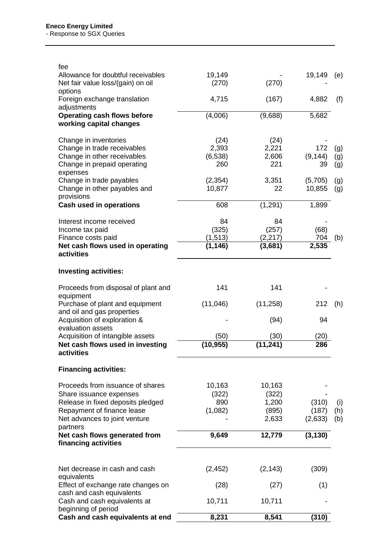| fee<br>Allowance for doubtful receivables<br>Net fair value loss/(gain) on oil                                                                                              | 19,149<br>(270)                     | (270)                                      | 19,149                    | (e)               |
|-----------------------------------------------------------------------------------------------------------------------------------------------------------------------------|-------------------------------------|--------------------------------------------|---------------------------|-------------------|
| options<br>Foreign exchange translation<br>adjustments                                                                                                                      | 4,715                               | (167)                                      | 4,882                     | (f)               |
| <b>Operating cash flows before</b><br>working capital changes                                                                                                               | (4,006)                             | (9,688)                                    | 5,682                     |                   |
| Change in inventories<br>Change in trade receivables<br>Change in other receivables<br>Change in prepaid operating<br>expenses                                              | (24)<br>2,393<br>(6, 538)<br>260    | (24)<br>2,221<br>2,606<br>221              | 172<br>(9, 144)<br>39     | (g)<br>(g)<br>(g) |
| Change in trade payables<br>Change in other payables and<br>provisions                                                                                                      | (2, 354)<br>10,877                  | 3,351<br>22                                | (5,705)<br>10,855         | (g)<br>(g)        |
| Cash used in operations                                                                                                                                                     | 608                                 | (1, 291)                                   | 1,899                     |                   |
| Interest income received<br>Income tax paid<br>Finance costs paid<br>Net cash flows used in operating<br>activities                                                         | 84<br>(325)<br>(1, 513)<br>(1, 146) | 84<br>(257)<br>(2, 217)<br>(3,681)         | (68)<br>704<br>2,535      | (b)               |
| <b>Investing activities:</b>                                                                                                                                                |                                     |                                            |                           |                   |
| Proceeds from disposal of plant and<br>equipment                                                                                                                            | 141                                 | 141                                        |                           |                   |
| Purchase of plant and equipment<br>and oil and gas properties<br>Acquisition of exploration &                                                                               | (11,046)                            | (11, 258)<br>(94)                          | 212<br>94                 | (h)               |
| evaluation assets<br>Acquisition of intangible assets<br>Net cash flows used in investing<br>activities                                                                     | (50)<br>(10, 955)                   | (30)<br>(11, 241)                          | (20)<br>286               |                   |
| <b>Financing activities:</b>                                                                                                                                                |                                     |                                            |                           |                   |
| Proceeds from issuance of shares<br>Share issuance expenses<br>Release in fixed deposits pledged<br>Repayment of finance lease<br>Net advances to joint venture<br>partners | 10,163<br>(322)<br>890<br>(1,082)   | 10,163<br>(322)<br>1,200<br>(895)<br>2,633 | (310)<br>(187)<br>(2,633) | (i)<br>(h)<br>(b) |
| Net cash flows generated from<br>financing activities                                                                                                                       | 9,649                               | 12,779                                     | (3, 130)                  |                   |
| Net decrease in cash and cash<br>equivalents<br>Effect of exchange rate changes on                                                                                          | (2, 452)<br>(28)                    | (2, 143)<br>(27)                           | (309)<br>(1)              |                   |
| cash and cash equivalents<br>Cash and cash equivalents at                                                                                                                   | 10,711                              | 10,711                                     |                           |                   |
| beginning of period<br>Cash and cash equivalents at end                                                                                                                     | 8,231                               | 8,541                                      | (310)                     |                   |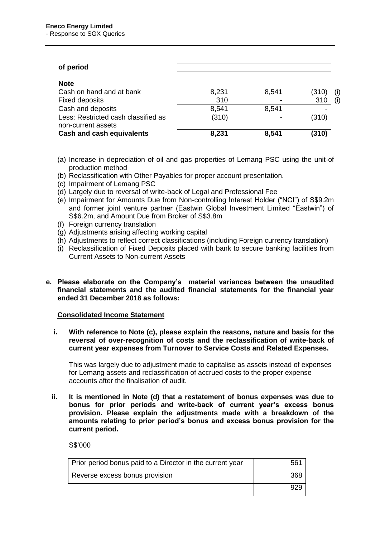| of period                                                 |       |       |       |     |
|-----------------------------------------------------------|-------|-------|-------|-----|
| <b>Note</b>                                               |       |       |       |     |
| Cash on hand and at bank                                  | 8,231 | 8,541 | (310) | (i) |
| <b>Fixed deposits</b>                                     | 310   |       | 310   | (i) |
| Cash and deposits                                         | 8,541 | 8.541 |       |     |
| Less: Restricted cash classified as<br>non-current assets | (310) |       | (310) |     |
| <b>Cash and cash equivalents</b>                          | 8,231 | 8,541 | (310) |     |

- (a) Increase in depreciation of oil and gas properties of Lemang PSC using the unit-of production method
- (b) Reclassification with Other Payables for proper account presentation.
- (c) Impairment of Lemang PSC
- (d) Largely due to reversal of write-back of Legal and Professional Fee
- (e) Impairment for Amounts Due from Non-controlling Interest Holder ("NCI") of S\$9.2m and former joint venture partner (Eastwin Global Investment Limited "Eastwin") of S\$6.2m, and Amount Due from Broker of S\$3.8m
- (f) Foreign currency translation
- (g) Adjustments arising affecting working capital
- (h) Adjustments to reflect correct classifications (including Foreign currency translation)
- (i) Reclassification of Fixed Deposits placed with bank to secure banking facilities from Current Assets to Non-current Assets
- **e. Please elaborate on the Company's material variances between the unaudited financial statements and the audited financial statements for the financial year ended 31 December 2018 as follows:**

### **Consolidated Income Statement**

**i. With reference to Note (c), please explain the reasons, nature and basis for the reversal of over-recognition of costs and the reclassification of write-back of current year expenses from Turnover to Service Costs and Related Expenses.**

This was largely due to adjustment made to capitalise as assets instead of expenses for Lemang assets and reclassification of accrued costs to the proper expense accounts after the finalisation of audit.

**ii. It is mentioned in Note (d) that a restatement of bonus expenses was due to bonus for prior periods and write-back of current year's excess bonus provision. Please explain the adjustments made with a breakdown of the amounts relating to prior period's bonus and excess bonus provision for the current period.**

S\$'000

| Prior period bonus paid to a Director in the current year |  |
|-----------------------------------------------------------|--|
| Reverse excess bonus provision                            |  |
|                                                           |  |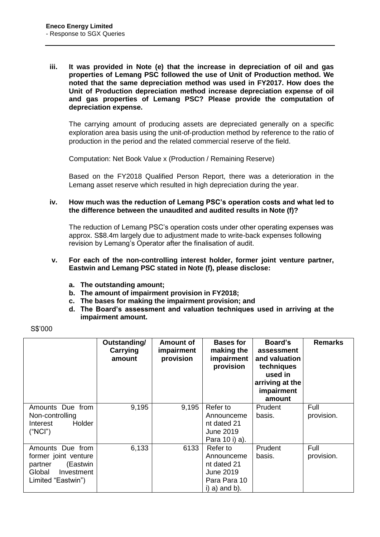**iii. It was provided in Note (e) that the increase in depreciation of oil and gas properties of Lemang PSC followed the use of Unit of Production method. We noted that the same depreciation method was used in FY2017. How does the Unit of Production depreciation method increase depreciation expense of oil and gas properties of Lemang PSC? Please provide the computation of depreciation expense.**

The carrying amount of producing assets are depreciated generally on a specific exploration area basis using the unit-of-production method by reference to the ratio of production in the period and the related commercial reserve of the field.

Computation: Net Book Value x (Production / Remaining Reserve)

Based on the FY2018 Qualified Person Report, there was a deterioration in the Lemang asset reserve which resulted in high depreciation during the year.

## **iv. How much was the reduction of Lemang PSC's operation costs and what led to the difference between the unaudited and audited results in Note (f)?**

The reduction of Lemang PSC's operation costs under other operating expenses was approx. S\$8.4m largely due to adjustment made to write-back expenses following revision by Lemang's Operator after the finalisation of audit.

- **v. For each of the non-controlling interest holder, former joint venture partner, Eastwin and Lemang PSC stated in Note (f), please disclose:**
	- **a. The outstanding amount;**
	- **b. The amount of impairment provision in FY2018;**
	- **c. The bases for making the impairment provision; and**
	- **d. The Board's assessment and valuation techniques used in arriving at the impairment amount.**

| S\$'000 |  |
|---------|--|
|---------|--|

|                                                                                                               | Outstanding/<br>Carrying<br>amount | <b>Amount of</b><br>impairment<br>provision | <b>Bases for</b><br>making the<br>impairment<br>provision                             | Board's<br>assessment<br>and valuation<br>techniques<br>used in<br>arriving at the<br>impairment<br>amount | <b>Remarks</b>     |
|---------------------------------------------------------------------------------------------------------------|------------------------------------|---------------------------------------------|---------------------------------------------------------------------------------------|------------------------------------------------------------------------------------------------------------|--------------------|
| Amounts Due from<br>Non-controlling<br>Holder<br>Interest<br>("NCI")                                          | 9,195                              | 9,195                                       | Refer to<br>Announceme<br>nt dated 21<br>June 2019<br>Para 10 i) a).                  | Prudent<br>basis.                                                                                          | Full<br>provision. |
| Amounts Due from<br>former joint venture<br>(Eastwin<br>partner<br>Global<br>Investment<br>Limited "Eastwin") | 6,133                              | 6133                                        | Refer to<br>Announceme<br>nt dated 21<br>June 2019<br>Para Para 10<br>$i)$ a) and b). | Prudent<br>basis.                                                                                          | Full<br>provision. |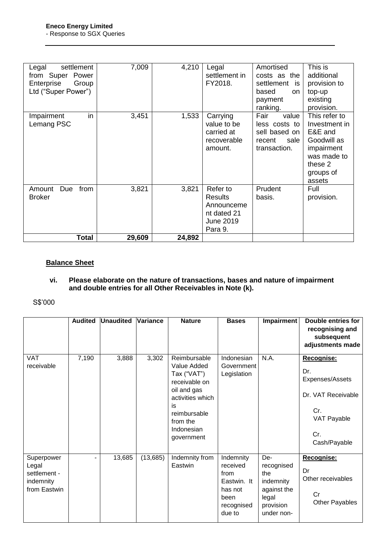| settlement<br>Legal<br>from Super Power<br>Enterprise<br>Group<br>Ltd ("Super Power") | 7,009  | 4,210  | Legal<br>settlement in<br>FY2018.                                               | Amortised<br>costs as the<br>settlement<br>is:<br>based<br><b>on</b><br>payment<br>ranking. | This is<br>additional<br>provision to<br>top-up<br>existing<br>provision.                                               |
|---------------------------------------------------------------------------------------|--------|--------|---------------------------------------------------------------------------------|---------------------------------------------------------------------------------------------|-------------------------------------------------------------------------------------------------------------------------|
| in<br>Impairment<br>Lemang PSC                                                        | 3,451  | 1,533  | Carrying<br>value to be<br>carried at<br>recoverable<br>amount.                 | Fair<br>value<br>less costs to<br>sell based on<br>sale<br>recent<br>transaction.           | This refer to<br>Investment in<br>E&E and<br>Goodwill as<br>impairment<br>was made to<br>these 2<br>groups of<br>assets |
| Amount<br>Due<br>from<br><b>Broker</b>                                                | 3,821  | 3,821  | Refer to<br>Results<br>Announceme<br>nt dated 21<br><b>June 2019</b><br>Para 9. | Prudent<br>basis.                                                                           | Full<br>provision.                                                                                                      |
| Total                                                                                 | 29,609 | 24,892 |                                                                                 |                                                                                             |                                                                                                                         |

# **Balance Sheet**

### **vi. Please elaborate on the nature of transactions, bases and nature of impairment and double entries for all Other Receivables in Note (k).**

S\$'000

|                                                                  | <b>Audited</b> | <b>Unaudited</b> | <b>Variance</b> | <b>Nature</b>                                                                                                                                                | <b>Bases</b>                                                                            | Impairment                                                                               | <b>Double entries for</b><br>recognising and<br>subsequent<br>adjustments made                          |
|------------------------------------------------------------------|----------------|------------------|-----------------|--------------------------------------------------------------------------------------------------------------------------------------------------------------|-----------------------------------------------------------------------------------------|------------------------------------------------------------------------------------------|---------------------------------------------------------------------------------------------------------|
| <b>VAT</b><br>receivable                                         | 7,190          | 3,888            | 3,302           | Reimbursable<br>Value Added<br>Tax ("VAT")<br>receivable on<br>oil and gas<br>activities which<br>is<br>reimbursable<br>from the<br>Indonesian<br>government | Indonesian<br>Government<br>Legislation                                                 | N.A.                                                                                     | Recognise:<br>Dr.<br>Expenses/Assets<br>Dr. VAT Receivable<br>Cr.<br>VAT Payable<br>Cr.<br>Cash/Payable |
| Superpower<br>Legal<br>settlement -<br>indemnity<br>from Eastwin | -              | 13,685           | (13, 685)       | Indemnity from<br>Eastwin                                                                                                                                    | Indemnity<br>received<br>from<br>Eastwin. It<br>has not<br>been<br>recognised<br>due to | De-<br>recognised<br>the<br>indemnity<br>against the<br>legal<br>provision<br>under non- | Recognise:<br>Dr<br>Other receivables<br>Cr<br><b>Other Payables</b>                                    |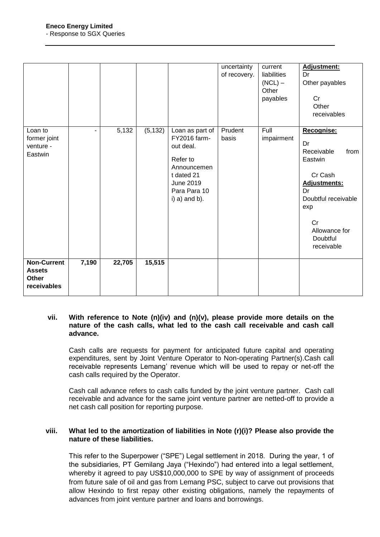|                                                             |                          |        |          |                                                                                                                                              | uncertainty<br>of recovery. | current<br>liabilities<br>$(NCL)$ –<br>Other<br>payables | Adjustment:<br>Dr<br>Other payables<br>Cr<br>Other<br>receivables                                                                                                 |
|-------------------------------------------------------------|--------------------------|--------|----------|----------------------------------------------------------------------------------------------------------------------------------------------|-----------------------------|----------------------------------------------------------|-------------------------------------------------------------------------------------------------------------------------------------------------------------------|
| Loan to<br>former joint<br>venture -<br>Eastwin             | $\overline{\phantom{0}}$ | 5,132  | (5, 132) | Loan as part of<br>FY2016 farm-<br>out deal.<br>Refer to<br>Announcemen<br>t dated 21<br><b>June 2019</b><br>Para Para 10<br>$i)$ a) and b). | Prudent<br>basis            | Full<br>impairment                                       | Recognise:<br>Dr<br>Receivable<br>from<br>Eastwin<br>Cr Cash<br>Adjustments:<br>Dr<br>Doubtful receivable<br>exp<br>Cr<br>Allowance for<br>Doubtful<br>receivable |
| <b>Non-Current</b><br><b>Assets</b><br>Other<br>receivables | 7,190                    | 22,705 | 15,515   |                                                                                                                                              |                             |                                                          |                                                                                                                                                                   |

### **vii. With reference to Note (n)(iv) and (n)(v), please provide more details on the nature of the cash calls, what led to the cash call receivable and cash call advance.**

Cash calls are requests for payment for anticipated future capital and operating expenditures, sent by Joint Venture Operator to Non-operating Partner(s).Cash call receivable represents Lemang' revenue which will be used to repay or net-off the cash calls required by the Operator.

Cash call advance refers to cash calls funded by the joint venture partner. Cash call receivable and advance for the same joint venture partner are netted-off to provide a net cash call position for reporting purpose.

## **viii. What led to the amortization of liabilities in Note (r)(i)? Please also provide the nature of these liabilities.**

This refer to the Superpower ("SPE") Legal settlement in 2018. During the year, 1 of the subsidiaries, PT Gemilang Jaya ("Hexindo") had entered into a legal settlement, whereby it agreed to pay US\$10,000,000 to SPE by way of assignment of proceeds from future sale of oil and gas from Lemang PSC, subject to carve out provisions that allow Hexindo to first repay other existing obligations, namely the repayments of advances from joint venture partner and loans and borrowings.